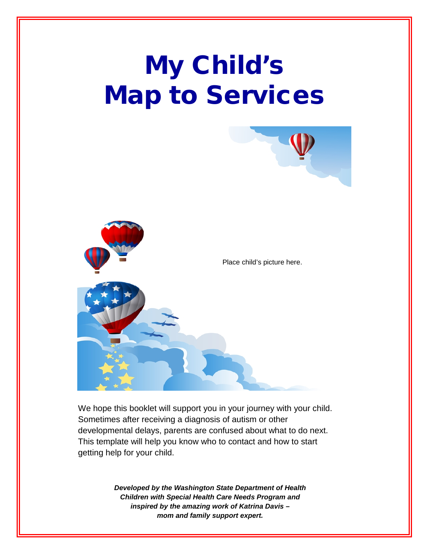# My Child's Map to Services



We hope this booklet will support you in your journey with your child. Sometimes after receiving a diagnosis of autism or other developmental delays, parents are confused about what to do next. This template will help you know who to contact and how to start getting help for your child.

> *Developed by the Washington State Department of Health Children with Special Health Care Needs Program and inspired by the amazing work of Katrina Davis – mom and family support expert.*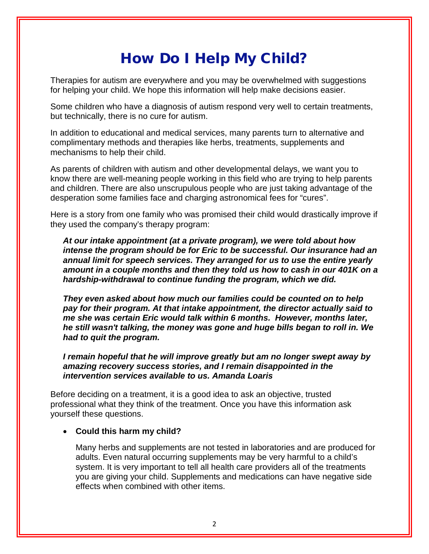### How Do I Help My Child?

Therapies for autism are everywhere and you may be overwhelmed with suggestions for helping your child. We hope this information will help make decisions easier.

Some children who have a diagnosis of autism respond very well to certain treatments, but technically, there is no cure for autism.

In addition to educational and medical services, many parents turn to alternative and complimentary methods and therapies like herbs, treatments, supplements and mechanisms to help their child.

As parents of children with autism and other developmental delays, we want you to know there are well-meaning people working in this field who are trying to help parents and children. There are also unscrupulous people who are just taking advantage of the desperation some families face and charging astronomical fees for "cures".

Here is a story from one family who was promised their child would drastically improve if they used the company's therapy program:

*At our intake appointment (at a private program), we were told about how intense the program should be for Eric to be successful. Our insurance had an annual limit for speech services. They arranged for us to use the entire yearly amount in a couple months and then they told us how to cash in our 401K on a hardship-withdrawal to continue funding the program, which we did.*

*They even asked about how much our families could be counted on to help pay for their program. At that intake appointment, the director actually said to me she was certain Eric would talk within 6 months. However, months later, he still wasn't talking, the money was gone and huge bills began to roll in. We had to quit the program.* 

*I remain hopeful that he will improve greatly but am no longer swept away by amazing recovery success stories, and I remain disappointed in the intervention services available to us. Amanda Loaris*

Before deciding on a treatment, it is a good idea to ask an objective, trusted professional what they think of the treatment. Once you have this information ask yourself these questions.

#### • **Could this harm my child?**

Many herbs and supplements are not tested in laboratories and are produced for adults. Even natural occurring supplements may be very harmful to a child's system. It is very important to tell all health care providers all of the treatments you are giving your child. Supplements and medications can have negative side effects when combined with other items.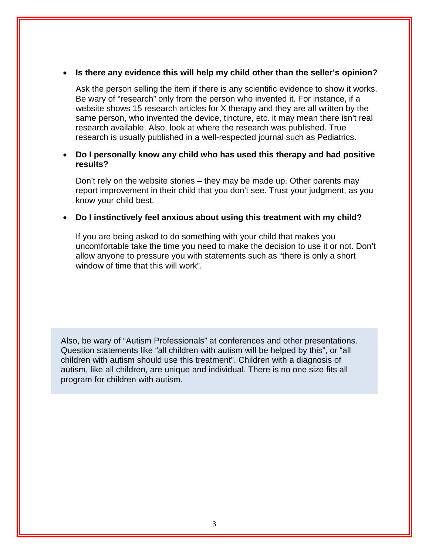#### • **Is there any evidence this will help my child other than the seller's opinion?**

Ask the person selling the item if there is any scientific evidence to show it works. Be wary of "research" only from the person who invented it. For instance, if a website shows 15 research articles for X therapy and they are all written by the same person, who invented the device, tincture, etc. it may mean there isn't real research available. Also, look at where the research was published. True research is usually published in a well-respected journal such as Pediatrics.

#### • **Do I personally know any child who has used this therapy and had positive results?**

Don't rely on the website stories – they may be made up. Other parents may report improvement in their child that you don't see. Trust your judgment, as you know your child best.

#### • **Do I instinctively feel anxious about using this treatment with my child?**

If you are being asked to do something with your child that makes you uncomfortable take the time you need to make the decision to use it or not. Don't allow anyone to pressure you with statements such as "there is only a short window of time that this will work".

Also, be wary of "Autism Professionals" at conferences and other presentations. Question statements like "all children with autism will be helped by this", or "all children with autism should use this treatment". Children with a diagnosis of autism, like all children, are unique and individual. There is no one size fits all program for children with autism.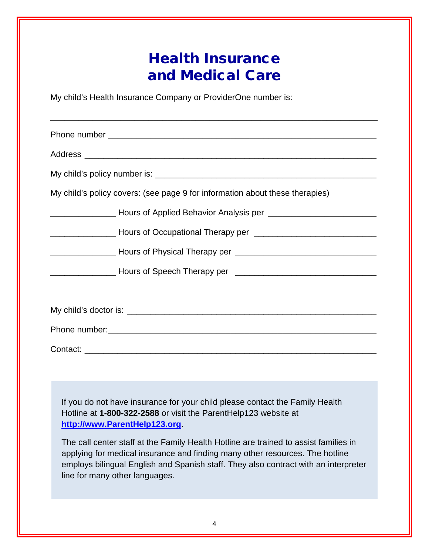### Health Insurance and Medical Care

My child's Health Insurance Company or ProviderOne number is:

| My child's policy covers: (see page 9 for information about these therapies)                 |
|----------------------------------------------------------------------------------------------|
| <u>__________________</u> Hours of Applied Behavior Analysis per ___________________________ |
| <u>___________________</u> Hours of Occupational Therapy per _______________________________ |
|                                                                                              |
|                                                                                              |
|                                                                                              |
|                                                                                              |
|                                                                                              |
|                                                                                              |

If you do not have insurance for your child please contact the Family Health Hotline at **1-800-322-2588** or visit the ParentHelp123 website at **[http://www.ParentHelp123.org](http://www.parenthelp123.org/)**.

The call center staff at the Family Health Hotline are trained to assist families in applying for medical insurance and finding many other resources. The hotline employs bilingual English and Spanish staff. They also contract with an interpreter line for many other languages.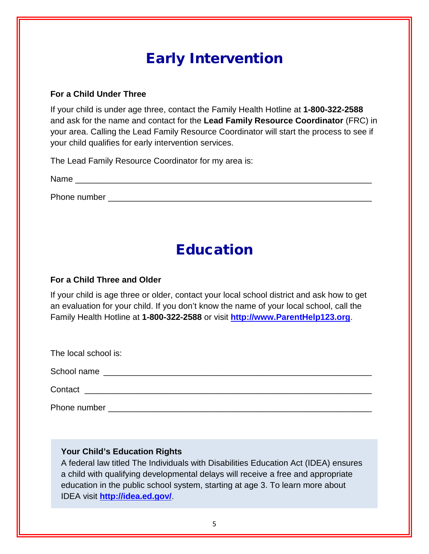### Early Intervention

#### **For a Child Under Three**

If your child is under age three, contact the Family Health Hotline at **1-800-322-2588** and ask for the name and contact for the **Lead Family Resource Coordinator** (FRC) in your area. Calling the Lead Family Resource Coordinator will start the process to see if your child qualifies for early intervention services.

The Lead Family Resource Coordinator for my area is:

Name \_\_\_\_\_\_\_\_\_\_\_\_\_\_\_\_\_\_\_\_\_\_\_\_\_\_\_\_\_\_\_\_\_\_\_\_\_\_\_\_\_\_\_\_\_\_\_\_\_\_\_\_\_\_\_\_\_\_\_\_\_\_\_

Phone number  $\blacksquare$ 

### Education

### **For a Child Three and Older**

If your child is age three or older, contact your local school district and ask how to get an evaluation for your child. If you don't know the name of your local school, call the Family Health Hotline at **1-800-322-2588** or visit **[http://www.ParentHelp123.org](http://www.parenthelp123.org/)**.

The local school is:

School name \_\_\_\_\_\_\_\_\_\_\_\_\_\_\_\_\_\_\_\_\_\_\_\_\_\_\_\_\_\_\_\_\_\_\_\_\_\_\_\_\_\_\_\_\_\_\_\_\_\_\_\_\_\_\_\_\_

Contact **Exercise 2.2 (2.2 million 2.2 million 2.2 million 2.2 million 2.2 million 2.2 million 2.2 million 2.2 million 2.2 million 2.2 million 2.2 million 2.2 million 2.2 million 2.2 million 2.2 million 2.2 million 2.2 mil** 

Phone number \_\_\_\_\_\_\_\_\_\_\_\_\_\_\_\_\_\_\_\_\_\_\_\_\_\_\_\_\_\_\_\_\_\_\_\_\_\_\_\_\_\_\_\_\_\_\_\_\_\_\_\_\_\_\_\_

### **Your Child's Education Rights**

A federal law titled The Individuals with Disabilities Education Act (IDEA) ensures a child with qualifying developmental delays will receive a free and appropriate education in the public school system, starting at age 3. To learn more about IDEA visit **<http://idea.ed.gov/>**.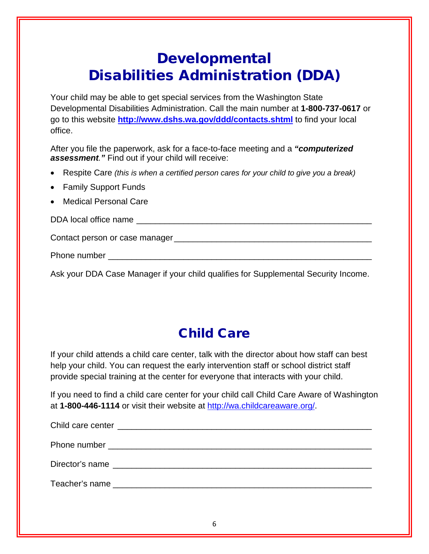### Developmental Disabilities Administration (DDA)

Your child may be able to get special services from the Washington State Developmental Disabilities Administration. Call the main number at **1-800-737-0617** or go to this website **<http://www.dshs.wa.gov/ddd/contacts.shtml>** to find your local office.

After you file the paperwork, ask for a face-to-face meeting and a *"computerized assessment."* Find out if your child will receive:

- Respite Care *(this is when a certified person cares for your child to give you a break)*
- Family Support Funds
- Medical Personal Care

DDA local office name was also as a set of the set of the set of the set of the set of the set of the set of the set of the set of the set of the set of the set of the set of the set of the set of the set of the set of the

Contact person or case manager \_\_\_\_\_\_\_\_\_\_\_\_\_\_\_\_\_\_\_\_\_\_\_\_\_\_\_\_\_\_\_\_\_\_\_\_\_\_\_\_\_\_

Phone number **and the set of the set of the set of the set of the set of the set of the set of the set of the set of the set of the set of the set of the set of the set of the set of the set of the set of the set of the se** 

Ask your DDA Case Manager if your child qualifies for Supplemental Security Income.

### Child Care

If your child attends a child care center, talk with the director about how staff can best help your child. You can request the early intervention staff or school district staff provide special training at the center for everyone that interacts with your child.

If you need to find a child care center for your child call Child Care Aware of Washington at **1-800-446-1114** or visit their website at [http://wa.childcareaware.org/.](http://wa.childcareaware.org/)

| Director's name |
|-----------------|
|                 |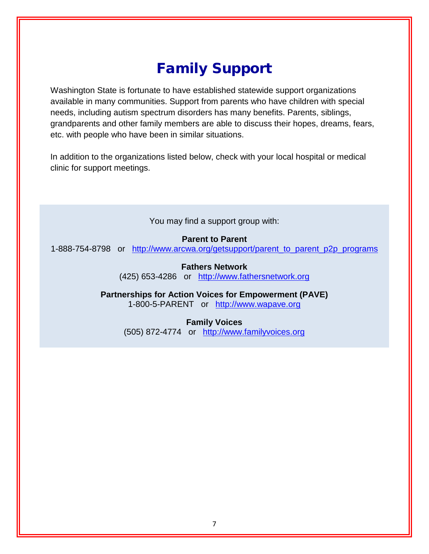### Family Support

Washington State is fortunate to have established statewide support organizations available in many communities. Support from parents who have children with special needs, including autism spectrum disorders has many benefits. Parents, siblings, grandparents and other family members are able to discuss their hopes, dreams, fears, etc. with people who have been in similar situations.

In addition to the organizations listed below, check with your local hospital or medical clinic for support meetings.

You may find a support group with:

#### **Parent to Parent**

1-888-754-8798 or [http://www.arcwa.org/getsupport/parent\\_to\\_parent\\_p2p\\_programs](http://www.arcwa.org/getsupport/parent_to_parent_p2p_programs)

**Fathers Network** (425) 653-4286 or [http://www.fathersnetwork.org](http://www.fathersnetwork.org/)

**Partnerships for Action Voices for Empowerment (PAVE)** 1-800-5-PARENT or [http://www.wapave.org](http://www.wapave.org/)

> **Family Voices** (505) 872-4774 or [http://www.familyvoices.org](http://www.familyvoices.org/)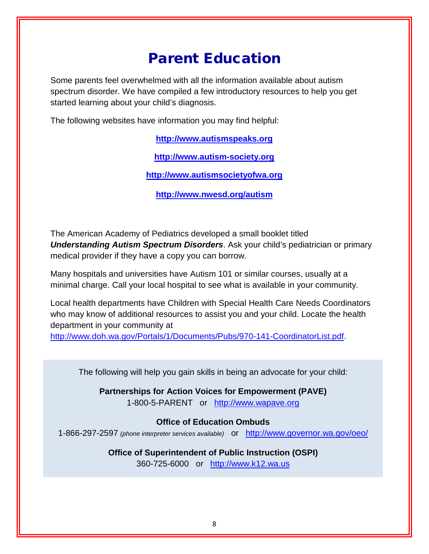### Parent Education

Some parents feel overwhelmed with all the information available about autism spectrum disorder. We have compiled a few introductory resources to help you get started learning about your child's diagnosis.

The following websites have information you may find helpful:

**[http://www.autismspeaks.org](http://www.autismspeaks.org/)**

**[http://www.autism-society.org](http://www.autism-society.org/)**

**[http://www.autismsocietyofwa.org](http://www.autismsocietyofwa.org/)**

**<http://www.nwesd.org/autism>**

The American Academy of Pediatrics developed a small booklet titled *Understanding Autism Spectrum Disorders*. Ask your child's pediatrician or primary medical provider if they have a copy you can borrow.

Many hospitals and universities have Autism 101 or similar courses, usually at a minimal charge. Call your local hospital to see what is available in your community.

Local health departments have Children with Special Health Care Needs Coordinators who may know of additional resources to assist you and your child. Locate the health department in your community at

[http://www.doh.wa.gov/Portals/1/Documents/Pubs/970-141-CoordinatorList.pdf.](http://www.doh.wa.gov/Portals/1/Documents/Pubs/970-141-CoordinatorList.pdf)

The following will help you gain skills in being an advocate for your child:

**Partnerships for Action Voices for Empowerment (PAVE)** 1-800-5-PARENT or [http://www.wapave.org](http://www.wapave.org/)

### **Office of Education Ombuds**

1-866-297-2597 *(phone interpreter services available)* or <http://www.governor.wa.gov/oeo/>

**Office of Superintendent of Public Instruction (OSPI)** 360-725-6000 or [http://www.k12.wa.us](http://www.k12.wa.us/)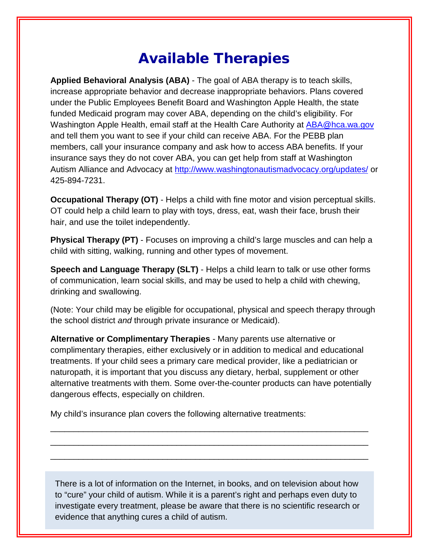### Available Therapies

**Applied Behavioral Analysis (ABA)** - The goal of ABA therapy is to teach skills, increase appropriate behavior and decrease inappropriate behaviors. Plans covered under the Public Employees Benefit Board and Washington Apple Health, the state funded Medicaid program may cover ABA, depending on the child's eligibility. For Washington Apple Health, email staff at the Health Care Authority at [ABA@hca.wa.gov](mailto:ABA@hca.wa.gov) and tell them you want to see if your child can receive ABA. For the PEBB plan members, call your insurance company and ask how to access ABA benefits. If your insurance says they do not cover ABA, you can get help from staff at Washington Autism Alliance and Advocacy at<http://www.washingtonautismadvocacy.org/updates/> or 425-894-7231.

**Occupational Therapy (OT)** - Helps a child with fine motor and vision perceptual skills. OT could help a child learn to play with toys, dress, eat, wash their face, brush their hair, and use the toilet independently.

**Physical Therapy (PT)** - Focuses on improving a child's large muscles and can help a child with sitting, walking, running and other types of movement.

**Speech and Language Therapy (SLT)** - Helps a child learn to talk or use other forms of communication, learn social skills, and may be used to help a child with chewing, drinking and swallowing.

(Note: Your child may be eligible for occupational, physical and speech therapy through the school district *and* through private insurance or Medicaid).

**Alternative or Complimentary Therapies** - Many parents use alternative or complimentary therapies, either exclusively or in addition to medical and educational treatments. If your child sees a primary care medical provider, like a pediatrician or naturopath, it is important that you discuss any dietary, herbal, supplement or other alternative treatments with them. Some over-the-counter products can have potentially dangerous effects, especially on children.

\_\_\_\_\_\_\_\_\_\_\_\_\_\_\_\_\_\_\_\_\_\_\_\_\_\_\_\_\_\_\_\_\_\_\_\_\_\_\_\_\_\_\_\_\_\_\_\_\_\_\_\_\_\_\_\_\_\_\_\_\_\_\_\_\_\_\_\_ \_\_\_\_\_\_\_\_\_\_\_\_\_\_\_\_\_\_\_\_\_\_\_\_\_\_\_\_\_\_\_\_\_\_\_\_\_\_\_\_\_\_\_\_\_\_\_\_\_\_\_\_\_\_\_\_\_\_\_\_\_\_\_\_\_\_\_\_ \_\_\_\_\_\_\_\_\_\_\_\_\_\_\_\_\_\_\_\_\_\_\_\_\_\_\_\_\_\_\_\_\_\_\_\_\_\_\_\_\_\_\_\_\_\_\_\_\_\_\_\_\_\_\_\_\_\_\_\_\_\_\_\_\_\_\_\_

My child's insurance plan covers the following alternative treatments:

There is a lot of information on the Internet, in books, and on television about how to "cure" your child of autism. While it is a parent's right and perhaps even duty to investigate every treatment, please be aware that there is no scientific research or evidence that anything cures a child of autism.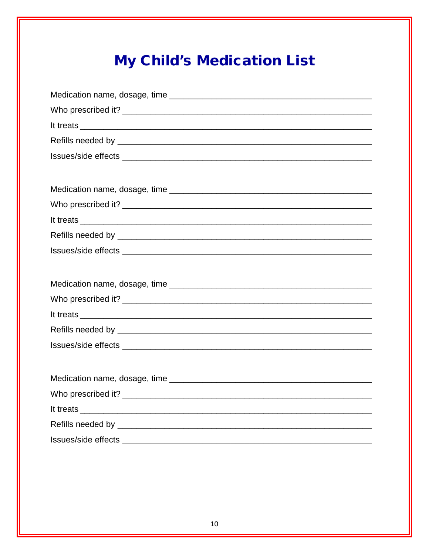## **My Child's Medication List**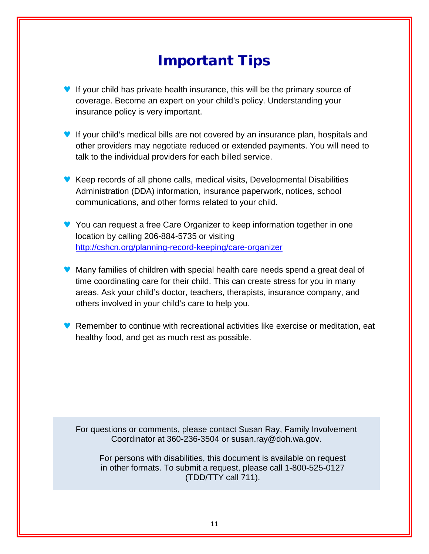### Important Tips

- If your child has private health insurance, this will be the primary source of coverage. Become an expert on your child's policy. Understanding your insurance policy is very important.
- ♥ If your child's medical bills are not covered by an insurance plan, hospitals and other providers may negotiate reduced or extended payments. You will need to talk to the individual providers for each billed service.
- ♥ Keep records of all phone calls, medical visits, Developmental Disabilities Administration (DDA) information, insurance paperwork, notices, school communications, and other forms related to your child.
- ♥ You can request a free Care Organizer to keep information together in one location by calling 206-884-5735 or visiting <http://cshcn.org/planning-record-keeping/care-organizer>
- ♥ Many families of children with special health care needs spend a great deal of time coordinating care for their child. This can create stress for you in many areas. Ask your child's doctor, teachers, therapists, insurance company, and others involved in your child's care to help you.
- ♥ Remember to continue with recreational activities like exercise or meditation, eat healthy food, and get as much rest as possible.

For questions or comments, please contact Susan Ray, Family Involvement Coordinator at 360-236-3504 or susan.ray@doh.wa.gov.

For persons with disabilities, this document is available on request in other formats. To submit a request, please call 1-800-525-0127 (TDD/TTY call 711).